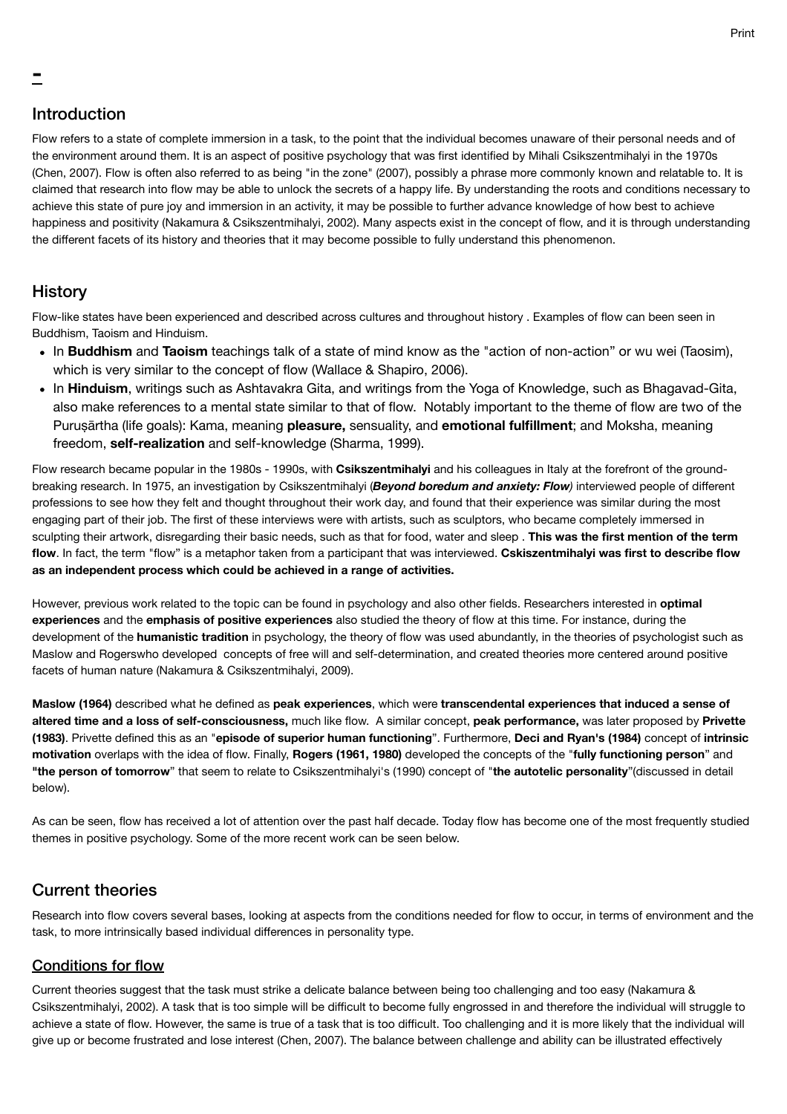# Introduction

-

Flow refers to a state of complete immersion in a task, to the point that the individual becomes unaware of their personal needs and of the environment around them. It is an aspect of positive psychology that was first identified by Mihali Csikszentmihalyi in the 1970s (Chen, 2007). Flow is often also referred to as being "in the zone" (2007), possibly a phrase more commonly known and relatable to. It is claimed that research into flow may be able to unlock the secrets of a happy life. By understanding the roots and conditions necessary to achieve this state of pure joy and immersion in an activity, it may be possible to further advance knowledge of how best to achieve happiness and positivity (Nakamura & Csikszentmihalyi, 2002). Many aspects exist in the concept of flow, and it is through understanding the different facets of its history and theories that it may become possible to fully understand this phenomenon.

## **History**

Flow-like states have been experienced and described across cultures and throughout history . Examples of flow can been seen in Buddhism, Taoism and Hinduism.

- In **Buddhism** and **Taoism** teachings talk of a state of mind know as the "action of non-action" or wu wei (Taosim), which is very similar to the concept of flow (Wallace & Shapiro, 2006).
- In Hinduism, writings such as Ashtavakra Gita, and writings from the Yoga of Knowledge, such as Bhagavad-Gita, also make references to a mental state similar to that of flow. Notably important to the theme of flow are two of the Puruṣārtha (life goals): Kama, meaning **pleasure,** sensuality, and **emotional fulfillment**; and Moksha, meaning freedom, **self-realization** and self-knowledge (Sharma, 1999).

Flow research became popular in the 1980s - 1990s, with **Csikszentmihalyi** and his colleagues in Italy at the forefront of the groundbreaking research. In 1975, an investigation by Csikszentmihalyi (*Beyond boredum and anxiety: Flow)* interviewed people of different professions to see how they felt and thought throughout their work day, and found that their experience was similar during the most engaging part of their job. The first of these interviews were with artists, such as sculptors, who became completely immersed in sculpting their artwork, disregarding their basic needs, such as that for food, water and sleep . **This was the first mention of the term flow**. In fact, the term "flow" is a metaphor taken from a participant that was interviewed. **Cskiszentmihalyi was first to describe flow as an independent process which could be achieved in a range of activities.** 

However, previous work related to the topic can be found in psychology and also other fields. Researchers interested in **optimal experiences** and the **emphasis of positive experiences** also studied the theory of flow at this time. For instance, during the development of the **humanistic tradition** in psychology, the theory of flow was used abundantly, in the theories of psychologist such as Maslow and Rogerswho developed concepts of free will and self-determination, and created theories more centered around positive facets of human nature (Nakamura & Csikszentmihalyi, 2009).

**Maslow (1964)** described what he defined as **peak experiences**, which were **transcendental experiences that induced a sense of altered time and a loss of self-consciousness,** much like flow. A similar concept, **peak performance,** was later proposed by **Privette (1983)**. Privette defined this as an "**episode of superior human functioning**". Furthermore, **Deci and Ryan's (1984)** concept of **intrinsic motivation** overlaps with the idea of flow. Finally, **Rogers (1961, 1980)** developed the concepts of the "**fully functioning person**" and **"the person of tomorrow**" that seem to relate to Csikszentmihalyi's (1990) concept of "**the autotelic personality**"(discussed in detail below).

As can be seen, flow has received a lot of attention over the past half decade. Today flow has become one of the most frequently studied themes in positive psychology. Some of the more recent work can be seen below.

# Current theories

Research into flow covers several bases, looking at aspects from the conditions needed for flow to occur, in terms of environment and the task, to more intrinsically based individual differences in personality type.

### Conditions for flow

Current theories suggest that the task must strike a delicate balance between being too challenging and too easy (Nakamura & Csikszentmihalyi, 2002). A task that is too simple will be difficult to become fully engrossed in and therefore the individual will struggle to achieve a state of flow. However, the same is true of a task that is too difficult. Too challenging and it is more likely that the individual will give up or become frustrated and lose interest (Chen, 2007). The balance between challenge and ability can be illustrated effectively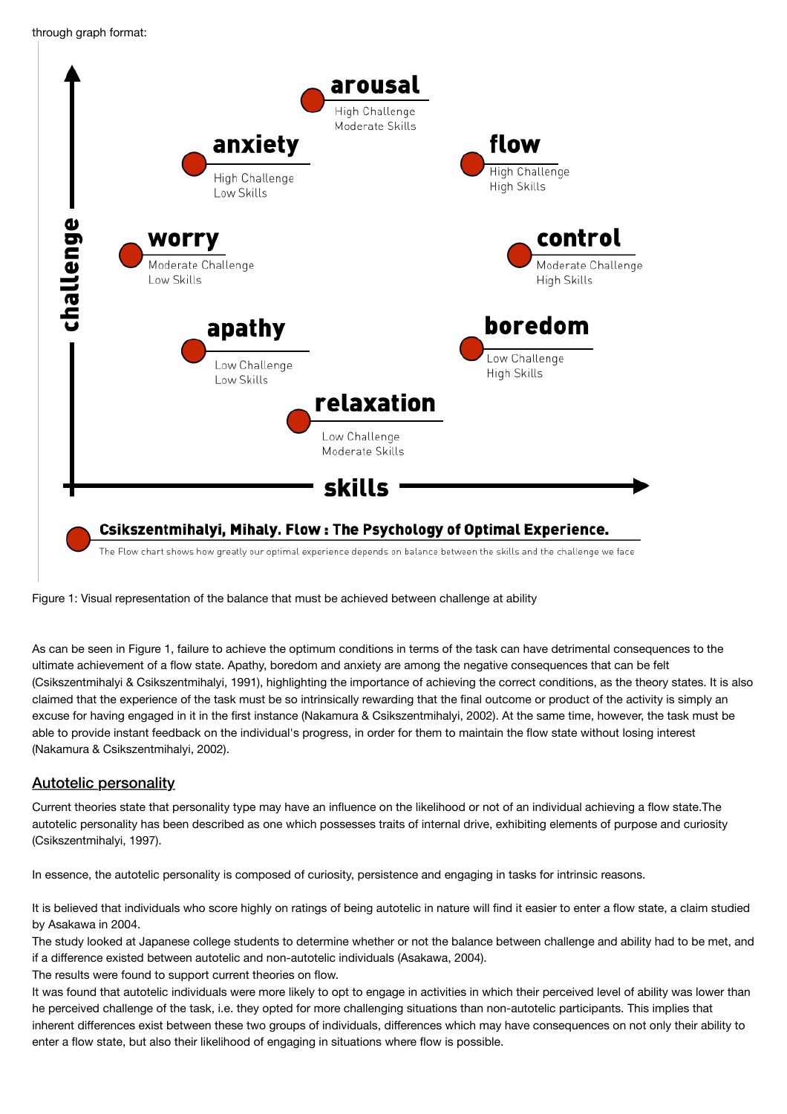

Figure 1: Visual representation of the balance that must be achieved between challenge at ability

As can be seen in Figure 1, failure to achieve the optimum conditions in terms of the task can have detrimental consequences to the ultimate achievement of a flow state. Apathy, boredom and anxiety are among the negative consequences that can be felt (Csikszentmihalyi & Csikszentmihalyi, 1991), highlighting the importance of achieving the correct conditions, as the theory states. It is also claimed that the experience of the task must be so intrinsically rewarding that the final outcome or product of the activity is simply an excuse for having engaged in it in the first instance (Nakamura & Csikszentmihalyi, 2002). At the same time, however, the task must be able to provide instant feedback on the individual's progress, in order for them to maintain the flow state without losing interest (Nakamura & Csikszentmihalyi, 2002).

## Autotelic personality

Current theories state that personality type may have an influence on the likelihood or not of an individual achieving a flow state.The autotelic personality has been described as one which possesses traits of internal drive, exhibiting elements of purpose and curiosity (Csikszentmihalyi, 1997).

In essence, the autotelic personality is composed of curiosity, persistence and engaging in tasks for intrinsic reasons.

It is believed that individuals who score highly on ratings of being autotelic in nature will find it easier to enter a flow state, a claim studied by Asakawa in 2004.

The study looked at Japanese college students to determine whether or not the balance between challenge and ability had to be met, and if a difference existed between autotelic and non-autotelic individuals (Asakawa, 2004).

The results were found to support current theories on flow.

It was found that autotelic individuals were more likely to opt to engage in activities in which their perceived level of ability was lower than he perceived challenge of the task, i.e. they opted for more challenging situations than non-autotelic participants. This implies that inherent differences exist between these two groups of individuals, differences which may have consequences on not only their ability to enter a flow state, but also their likelihood of engaging in situations where flow is possible.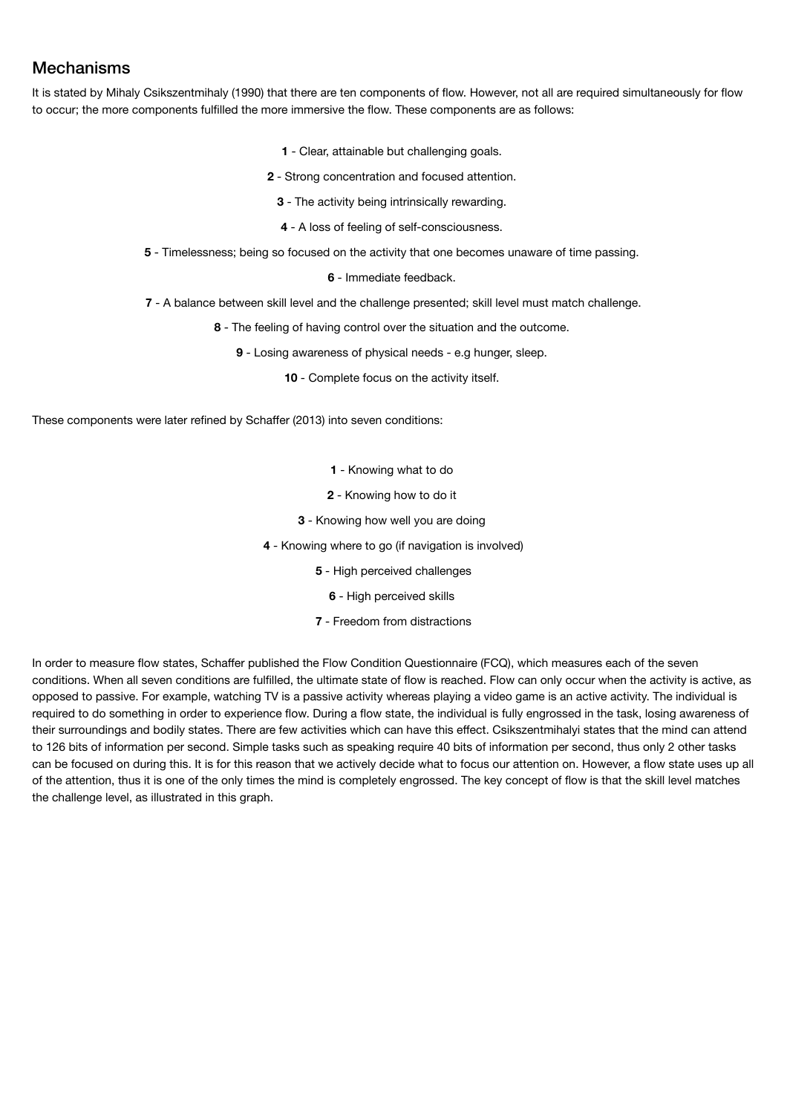# Mechanisms

It is stated by Mihaly Csikszentmihaly (1990) that there are ten components of flow. However, not all are required simultaneously for flow to occur; the more components fulfilled the more immersive the flow. These components are as follows:

- **1** Clear, attainable but challenging goals.
- **2**  Strong concentration and focused attention.
	- **3** The activity being intrinsically rewarding.
	- **4** A loss of feeling of self-consciousness.
- **5**  Timelessness; being so focused on the activity that one becomes unaware of time passing.

**6** - Immediate feedback.

**7** - A balance between skill level and the challenge presented; skill level must match challenge.

**8** - The feeling of having control over the situation and the outcome.

**9** - Losing awareness of physical needs - e.g hunger, sleep.

**10** - Complete focus on the activity itself.

These components were later refined by Schaffer (2013) into seven conditions:

- **1**  Knowing what to do
- **2** Knowing how to do it
- **3** Knowing how well you are doing
- **4** Knowing where to go (if navigation is involved)
	- **5** High perceived challenges
		- **6** High perceived skills
	- **7**  Freedom from distractions

In order to measure flow states, Schaffer published the Flow Condition Questionnaire (FCQ), which measures each of the seven conditions. When all seven conditions are fulfilled, the ultimate state of flow is reached. Flow can only occur when the activity is active, as opposed to passive. For example, watching TV is a passive activity whereas playing a video game is an active activity. The individual is required to do something in order to experience flow. During a flow state, the individual is fully engrossed in the task, losing awareness of their surroundings and bodily states. There are few activities which can have this effect. Csikszentmihalyi states that the mind can attend to 126 bits of information per second. Simple tasks such as speaking require 40 bits of information per second, thus only 2 other tasks can be focused on during this. It is for this reason that we actively decide what to focus our attention on. However, a flow state uses up all of the attention, thus it is one of the only times the mind is completely engrossed. The key concept of flow is that the skill level matches the challenge level, as illustrated in this graph.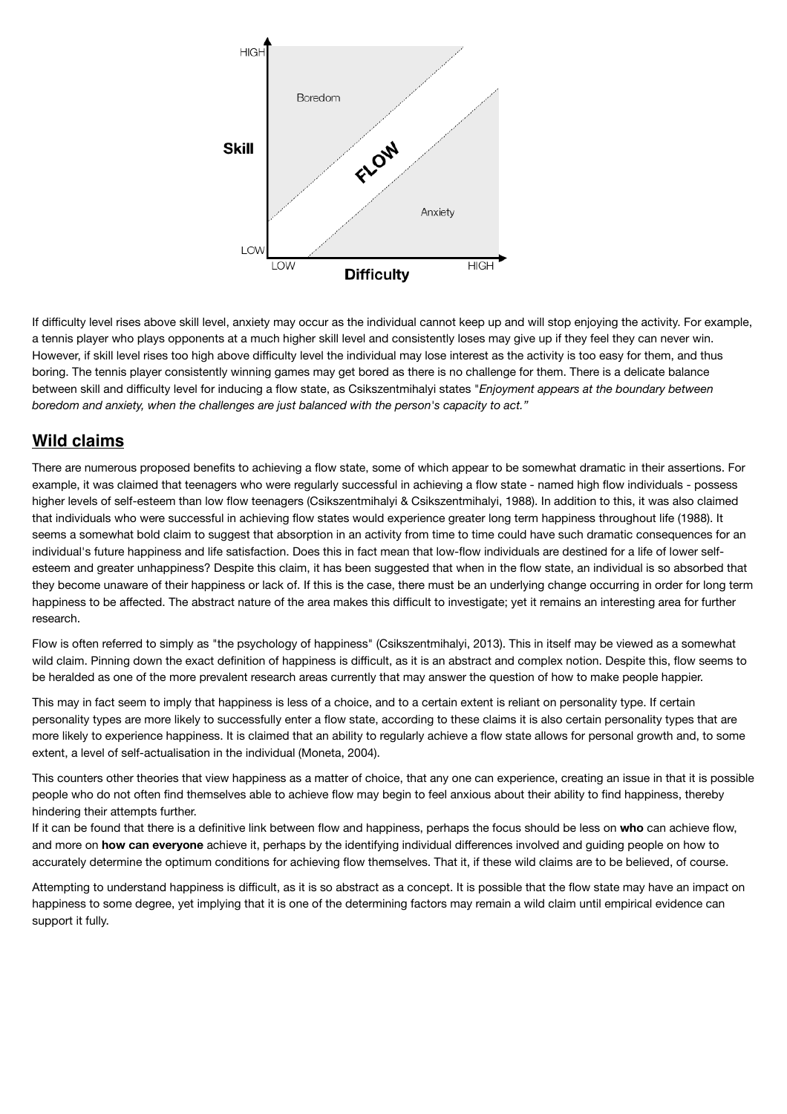

If difficulty level rises above skill level, anxiety may occur as the individual cannot keep up and will stop enjoying the activity. For example, a tennis player who plays opponents at a much higher skill level and consistently loses may give up if they feel they can never win. However, if skill level rises too high above difficulty level the individual may lose interest as the activity is too easy for them, and thus boring. The tennis player consistently winning games may get bored as there is no challenge for them. There is a delicate balance between skill and difficulty level for inducing a flow state, as Csikszentmihalyi states "*Enjoyment appears at the boundary between boredom and anxiety, when the challenges are just balanced with the person's capacity to act."*

# **Wild claims**

There are numerous proposed benefits to achieving a flow state, some of which appear to be somewhat dramatic in their assertions. For example, it was claimed that teenagers who were regularly successful in achieving a flow state - named high flow individuals - possess higher levels of self-esteem than low flow teenagers (Csikszentmihalyi & Csikszentmihalyi, 1988). In addition to this, it was also claimed that individuals who were successful in achieving flow states would experience greater long term happiness throughout life (1988). It seems a somewhat bold claim to suggest that absorption in an activity from time to time could have such dramatic consequences for an individual's future happiness and life satisfaction. Does this in fact mean that low-flow individuals are destined for a life of lower selfesteem and greater unhappiness? Despite this claim, it has been suggested that when in the flow state, an individual is so absorbed that they become unaware of their happiness or lack of. If this is the case, there must be an underlying change occurring in order for long term happiness to be affected. The abstract nature of the area makes this difficult to investigate; yet it remains an interesting area for further research.

Flow is often referred to simply as "the psychology of happiness" (Csikszentmihalyi, 2013). This in itself may be viewed as a somewhat wild claim. Pinning down the exact definition of happiness is difficult, as it is an abstract and complex notion. Despite this, flow seems to be heralded as one of the more prevalent research areas currently that may answer the question of how to make people happier.

This may in fact seem to imply that happiness is less of a choice, and to a certain extent is reliant on personality type. If certain personality types are more likely to successfully enter a flow state, according to these claims it is also certain personality types that are more likely to experience happiness. It is claimed that an ability to regularly achieve a flow state allows for personal growth and, to some extent, a level of self-actualisation in the individual (Moneta, 2004).

This counters other theories that view happiness as a matter of choice, that any one can experience, creating an issue in that it is possible people who do not often find themselves able to achieve flow may begin to feel anxious about their ability to find happiness, thereby hindering their attempts further.

If it can be found that there is a definitive link between flow and happiness, perhaps the focus should be less on **who** can achieve flow, and more on **how can everyone** achieve it, perhaps by the identifying individual differences involved and guiding people on how to accurately determine the optimum conditions for achieving flow themselves. That it, if these wild claims are to be believed, of course.

Attempting to understand happiness is difficult, as it is so abstract as a concept. It is possible that the flow state may have an impact on happiness to some degree, yet implying that it is one of the determining factors may remain a wild claim until empirical evidence can support it fully.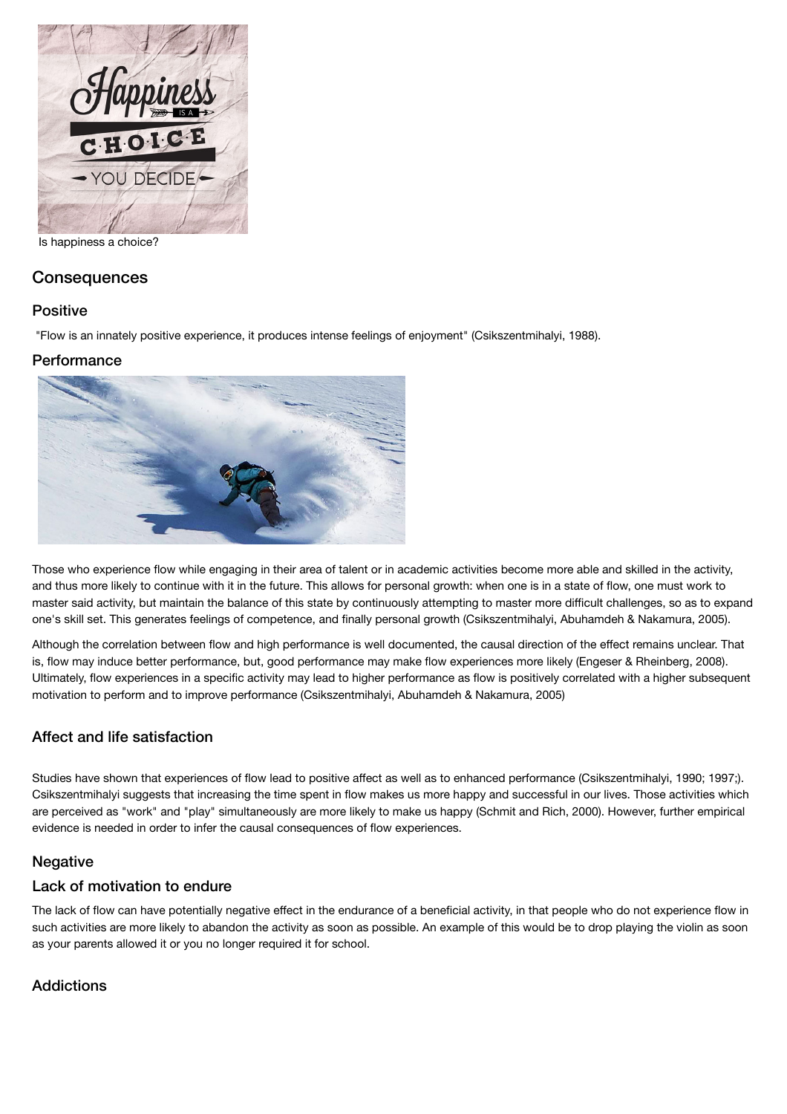

Is happiness a choice?

## **Consequences**

### **Positive**

"Flow is an innately positive experience, it produces intense feelings of enjoyment" (Csikszentmihalyi, 1988).

### **Performance**



Those who experience flow while engaging in their area of talent or in academic activities become more able and skilled in the activity, and thus more likely to continue with it in the future. This allows for personal growth: when one is in a state of flow, one must work to master said activity, but maintain the balance of this state by continuously attempting to master more difficult challenges, so as to expand one's skill set. This generates feelings of competence, and finally personal growth (Csikszentmihalyi, Abuhamdeh & Nakamura, 2005).

Although the correlation between flow and high performance is well documented, the causal direction of the effect remains unclear. That is, flow may induce better performance, but, good performance may make flow experiences more likely (Engeser & Rheinberg, 2008). Ultimately, flow experiences in a specific activity may lead to higher performance as flow is positively correlated with a higher subsequent motivation to perform and to improve performance (Csikszentmihalyi, Abuhamdeh & Nakamura, 2005)

## Affect and life satisfaction

Studies have shown that experiences of flow lead to positive affect as well as to enhanced performance (Csikszentmihalyi, 1990; 1997;). Csikszentmihalyi suggests that increasing the time spent in flow makes us more happy and successful in our lives. Those activities which are perceived as "work" and "play" simultaneously are more likely to make us happy (Schmit and Rich, 2000). However, further empirical evidence is needed in order to infer the causal consequences of flow experiences.

### **Negative**

### Lack of motivation to endure

The lack of flow can have potentially negative effect in the endurance of a beneficial activity, in that people who do not experience flow in such activities are more likely to abandon the activity as soon as possible. An example of this would be to drop playing the violin as soon as your parents allowed it or you no longer required it for school.

### **Addictions**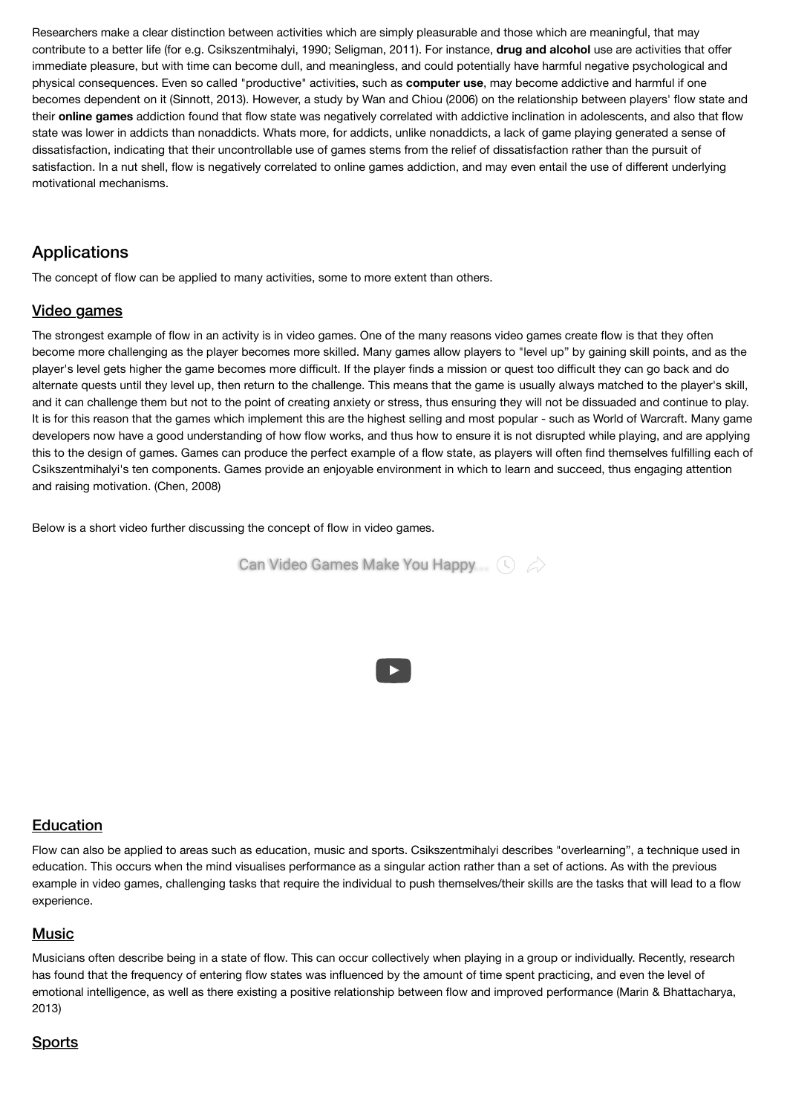Researchers make a clear distinction between activities which are simply pleasurable and those which are meaningful, that may contribute to a better life (for e.g. Csikszentmihalyi, 1990; Seligman, 2011). For instance, **drug and alcohol** use are activities that offer immediate pleasure, but with time can become dull, and meaningless, and could potentially have harmful negative psychological and physical consequences. Even so called "productive" activities, such as **computer use**, may become addictive and harmful if one becomes dependent on it (Sinnott, 2013). However, a study by Wan and Chiou (2006) on the relationship between players' flow state and their **online games** addiction found that flow state was negatively correlated with addictive inclination in adolescents, and also that flow state was lower in addicts than nonaddicts. Whats more, for addicts, unlike nonaddicts, a lack of game playing generated a sense of dissatisfaction, indicating that their uncontrollable use of games stems from the relief of dissatisfaction rather than the pursuit of satisfaction. In a nut shell, flow is negatively correlated to online games addiction, and may even entail the use of different underlying motivational mechanisms.

# Applications

The concept of flow can be applied to many activities, some to more extent than others.

### Video games

The strongest example of flow in an activity is in video games. One of the many reasons video games create flow is that they often become more challenging as the player becomes more skilled. Many games allow players to "level up" by gaining skill points, and as the player's level gets higher the game becomes more difficult. If the player finds a mission or quest too difficult they can go back and do alternate quests until they level up, then return to the challenge. This means that the game is usually always matched to the player's skill, and it can challenge them but not to the point of creating anxiety or stress, thus ensuring they will not be dissuaded and continue to play. It is for this reason that the games which implement this are the highest selling and most popular - such as World of Warcraft. Many game developers now have a good understanding of how flow works, and thus how to ensure it is not disrupted while playing, and are applying this to the design of games. Games can produce the perfect example of a flow state, as players will often find themselves fulfilling each of Csikszentmihalyi's ten components. Games provide an enjoyable environment in which to learn and succeed, thus engaging attention and raising motivation. (Chen, 2008)

Below is a short video further discussing the concept of flow in video games.



### **Education**

Flow can also be applied to areas such as education, music and sports. Csikszentmihalyi describes "overlearning", a technique used in education. This occurs when the mind visualises performance as a singular action rather than a set of actions. As with the previous example in video games, challenging tasks that require the individual to push themselves/their skills are the tasks that will lead to a flow experience.

### Music

Musicians often describe being in a state of flow. This can occur collectively when playing in a group or individually. Recently, research has found that the frequency of entering flow states was influenced by the amount of time spent practicing, and even the level of emotional intelligence, as well as there existing a positive relationship between flow and improved performance (Marin & Bhattacharya, 2013)

# Sports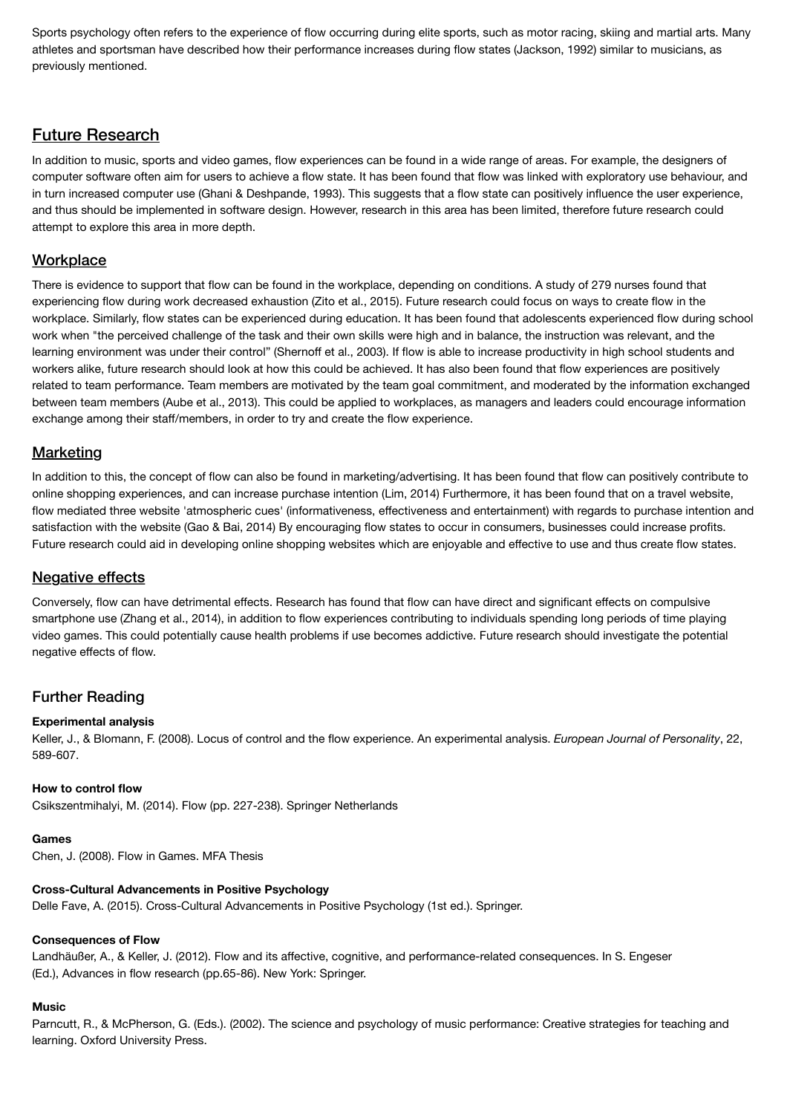Sports psychology often refers to the experience of flow occurring during elite sports, such as motor racing, skiing and martial arts. Many athletes and sportsman have described how their performance increases during flow states (Jackson, 1992) similar to musicians, as previously mentioned.

# Future Research

In addition to music, sports and video games, flow experiences can be found in a wide range of areas. For example, the designers of computer software often aim for users to achieve a flow state. It has been found that flow was linked with exploratory use behaviour, and in turn increased computer use (Ghani & Deshpande, 1993). This suggests that a flow state can positively influence the user experience, and thus should be implemented in software design. However, research in this area has been limited, therefore future research could attempt to explore this area in more depth.

## **Workplace**

There is evidence to support that flow can be found in the workplace, depending on conditions. A study of 279 nurses found that experiencing flow during work decreased exhaustion (Zito et al., 2015). Future research could focus on ways to create flow in the workplace. Similarly, flow states can be experienced during education. It has been found that adolescents experienced flow during school work when "the perceived challenge of the task and their own skills were high and in balance, the instruction was relevant, and the learning environment was under their control" (Shernoff et al., 2003). If flow is able to increase productivity in high school students and workers alike, future research should look at how this could be achieved. It has also been found that flow experiences are positively related to team performance. Team members are motivated by the team goal commitment, and moderated by the information exchanged between team members (Aube et al., 2013). This could be applied to workplaces, as managers and leaders could encourage information exchange among their staff/members, in order to try and create the flow experience.

## **Marketing**

In addition to this, the concept of flow can also be found in marketing/advertising. It has been found that flow can positively contribute to online shopping experiences, and can increase purchase intention (Lim, 2014) Furthermore, it has been found that on a travel website, flow mediated three website 'atmospheric cues' (informativeness, effectiveness and entertainment) with regards to purchase intention and satisfaction with the website (Gao & Bai, 2014) By encouraging flow states to occur in consumers, businesses could increase profits. Future research could aid in developing online shopping websites which are enjoyable and effective to use and thus create flow states.

### **Negative effects**

Conversely, flow can have detrimental effects. Research has found that flow can have direct and significant effects on compulsive smartphone use (Zhang et al., 2014), in addition to flow experiences contributing to individuals spending long periods of time playing video games. This could potentially cause health problems if use becomes addictive. Future research should investigate the potential negative effects of flow.

## Further Reading

### **Experimental analysis**

Keller, J., & Blomann, F. (2008). Locus of control and the flow experience. An experimental analysis. *European Journal of Personality*, 22, 589-607.

### **How to control flow**

Csikszentmihalyi, M. (2014). Flow (pp. 227-238). Springer Netherlands

#### **Games**

Chen, J. (2008). Flow in Games. MFA Thesis

### **Cross-Cultural Advancements in Positive Psychology**

Delle Fave, A. (2015). Cross-Cultural Advancements in Positive Psychology (1st ed.). Springer.

#### **Consequences of Flow**

Landhäußer, A., & Keller, J. (2012). Flow and its affective, cognitive, and performance-related consequences. In S. Engeser (Ed.), Advances in flow research (pp.65-86). New York: Springer.

### **Music**

Parncutt, R., & McPherson, G. (Eds.). (2002). The science and psychology of music performance: Creative strategies for teaching and learning. Oxford University Press.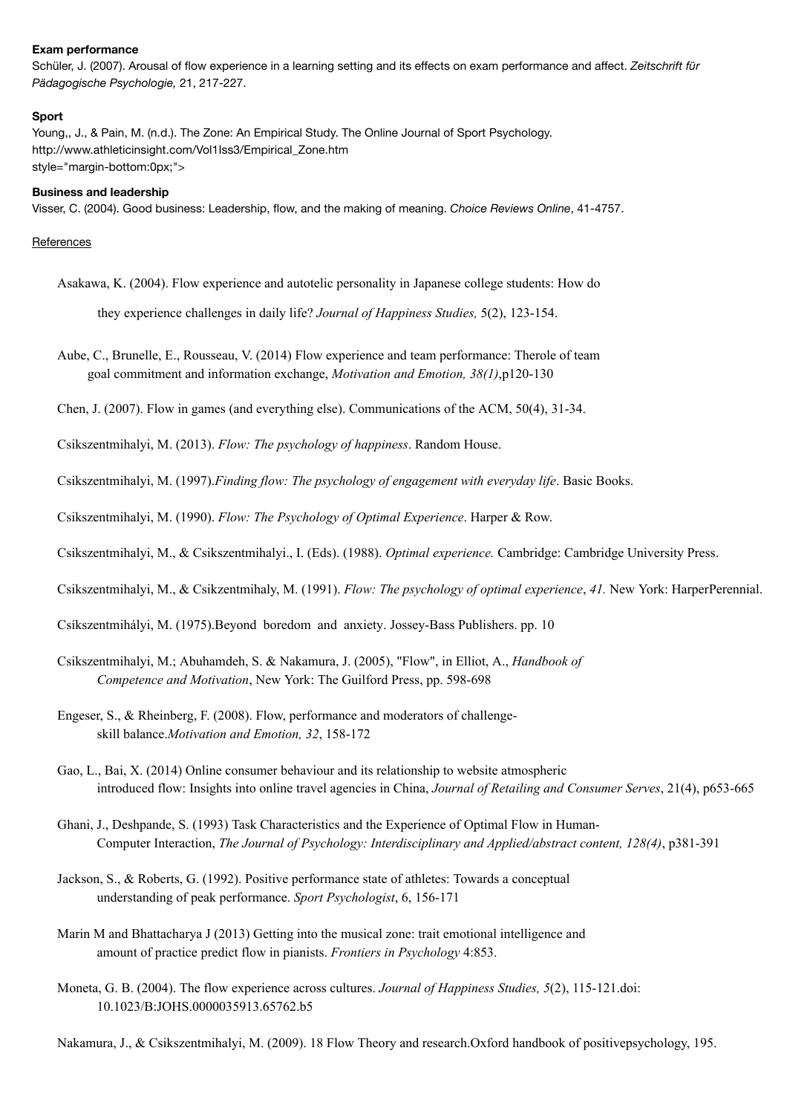#### **Exam performance**

Schüler, J. (2007). Arousal of flow experience in a learning setting and its effects on exam performance and affect. *Zeitschrift für Pädagogische Psychologie,* 21, 217-227.

#### **Sport**

Young,, J., & Pain, M. (n.d.). The Zone: An Empirical Study. The Online Journal of Sport Psychology. [http://www.athleticinsight.com/Vol1Iss3/Empirical\\_Zone.htm](http://www.athleticinsight.com/Vol1Iss3/Empirical_Zone.htm) style="margin-bottom:0px;">

#### **Business and leadership**

Visser, C. (2004). Good business: Leadership, flow, and the making of meaning. *Choice Reviews Online*, 41-4757.

#### **References**

Asakawa, K. (2004). Flow experience and autotelic personality in Japanese college students: How do

they experience challenges in daily life? *Journal of Happiness Studies,* 5(2), 123-154.

Aube, C., Brunelle, E., Rousseau, V. (2014) Flow experience and team performance: Therole of team goal commitment and information exchange, *Motivation and Emotion, 38(1)*,p120-130

Chen, J. (2007). Flow in games (and everything else). Communications of the ACM, 50(4), 31-34.

Csikszentmihalyi, M. (2013). *Flow: The psychology of happiness*. Random House.

Csikszentmihalyi, M. (1997).*Finding flow: The psychology of engagement with everyday life*. Basic Books.

Csikszentmihalyi, M. (1990). *Flow: The Psychology of Optimal Experience*. Harper & Row.

Csikszentmihalyi, M., & Csikszentmihalyi., I. (Eds). (1988). *Optimal experience.* Cambridge: Cambridge University Press.

Csikszentmihalyi, M., & Csikzentmihaly, M. (1991). *Flow: The psychology of optimal experience*, *41.* New York: HarperPerennial.

Csíkszentmihályi, M. (1975).Beyond boredom and anxiety. Jossey-Bass Publishers. pp. 10

- Csikszentmihalyi, M.; Abuhamdeh, S. & Nakamura, J. (2005), "Flow", in Elliot, A., *Handbook of Competence and Motivation*, New York: The Guilford Press, pp. 598-698
- Engeser, S., & Rheinberg, F. (2008). Flow, performance and moderators of challengeskill balance.*Motivation and Emotion, 32*, 158-172
- Gao, L., Bai, X. (2014) Online consumer behaviour and its relationship to website atmospheric introduced flow: Insights into online travel agencies in China, *Journal of Retailing and Consumer Serves*, 21(4), p653-665

Ghani, J., Deshpande, S. (1993) Task Characteristics and the Experience of Optimal Flow in Human-Computer Interaction, *The Journal of Psychology: Interdisciplinary and Applied/abstract content, 128(4)*, p381-391

- Jackson, S., & Roberts, G. (1992). Positive performance state of athletes: Towards a conceptual understanding of peak performance. *Sport Psychologist*, 6, 156-171
- Marin M and Bhattacharya J (2013) Getting into the musical zone: trait emotional intelligence and amount of practice predict flow in pianists. *Frontiers in Psychology* 4:853.
- Moneta, G. B. (2004). The flow experience across cultures. *Journal of Happiness Studies, 5*(2), 115-121.doi: 10.1023/B:JOHS.0000035913.65762.b5

Nakamura, J., & Csikszentmihalyi, M. (2009). 18 Flow Theory and research.Oxford handbook of positivepsychology, 195.